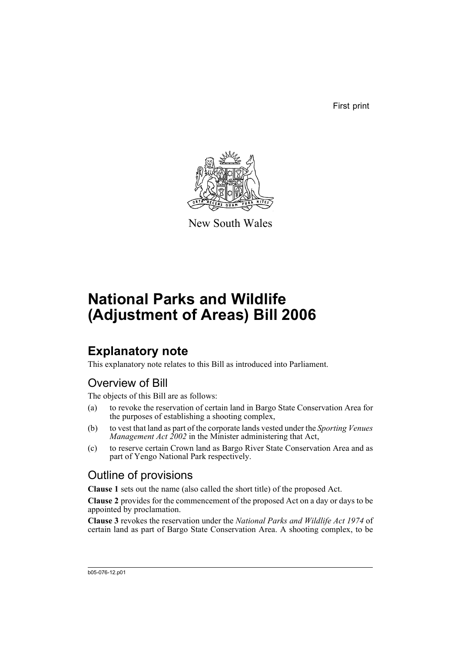First print



New South Wales

# **National Parks and Wildlife (Adjustment of Areas) Bill 2006**

## **Explanatory note**

This explanatory note relates to this Bill as introduced into Parliament.

### Overview of Bill

The objects of this Bill are as follows:

- (a) to revoke the reservation of certain land in Bargo State Conservation Area for the purposes of establishing a shooting complex,
- (b) to vest that land as part of the corporate lands vested under the *Sporting Venues Management Act 2002* in the Minister administering that Act,
- (c) to reserve certain Crown land as Bargo River State Conservation Area and as part of Yengo National Park respectively.

### Outline of provisions

**Clause 1** sets out the name (also called the short title) of the proposed Act.

**Clause 2** provides for the commencement of the proposed Act on a day or days to be appointed by proclamation.

**Clause 3** revokes the reservation under the *National Parks and Wildlife Act 1974* of certain land as part of Bargo State Conservation Area. A shooting complex, to be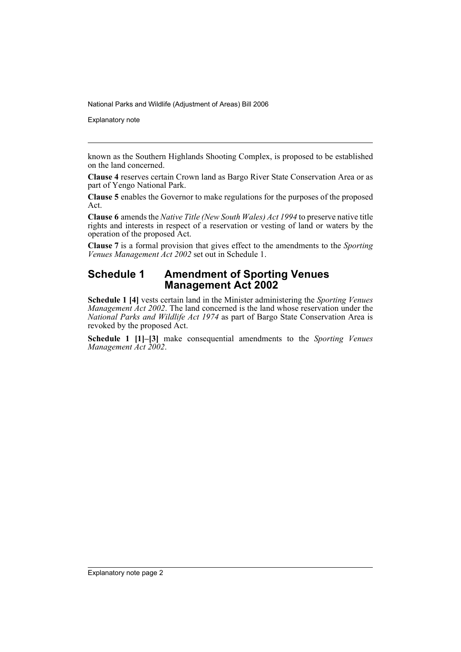National Parks and Wildlife (Adjustment of Areas) Bill 2006

Explanatory note

known as the Southern Highlands Shooting Complex, is proposed to be established on the land concerned.

**Clause 4** reserves certain Crown land as Bargo River State Conservation Area or as part of Yengo National Park.

**Clause 5** enables the Governor to make regulations for the purposes of the proposed Act.

**Clause 6** amends the *Native Title (New South Wales) Act 1994* to preserve native title rights and interests in respect of a reservation or vesting of land or waters by the operation of the proposed Act.

**Clause 7** is a formal provision that gives effect to the amendments to the *Sporting Venues Management Act 2002* set out in Schedule 1.

#### **Schedule 1 Amendment of Sporting Venues Management Act 2002**

**Schedule 1 [4]** vests certain land in the Minister administering the *Sporting Venues Management Act 2002*. The land concerned is the land whose reservation under the *National Parks and Wildlife Act 1974* as part of Bargo State Conservation Area is revoked by the proposed Act.

**Schedule 1 [1]–[3]** make consequential amendments to the *Sporting Venues Management Act 2002*.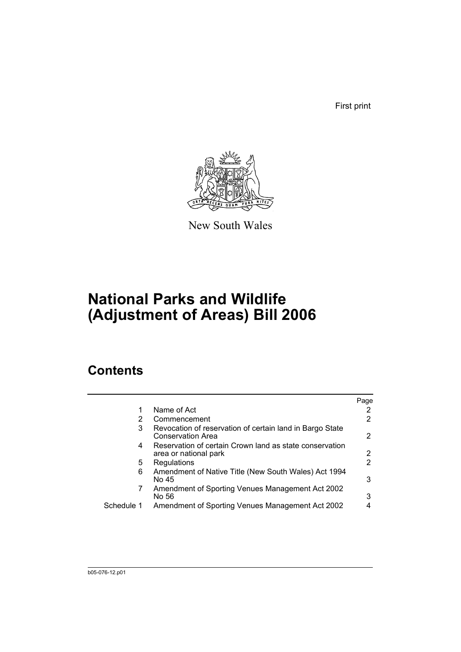First print



New South Wales

# **National Parks and Wildlife (Adjustment of Areas) Bill 2006**

### **Contents**

|            |                                                                                  | Page |
|------------|----------------------------------------------------------------------------------|------|
|            | Name of Act                                                                      |      |
| 2          | Commencement                                                                     | 2    |
| 3          | Revocation of reservation of certain land in Bargo State<br>Conservation Area    | 2    |
| 4          | Reservation of certain Crown land as state conservation<br>area or national park | 2    |
| 5.         | Regulations                                                                      | 2    |
| 6          | Amendment of Native Title (New South Wales) Act 1994<br>No 45                    | 3    |
| 7          | Amendment of Sporting Venues Management Act 2002<br>No 56                        | 3    |
| Schedule 1 | Amendment of Sporting Venues Management Act 2002                                 |      |
|            |                                                                                  |      |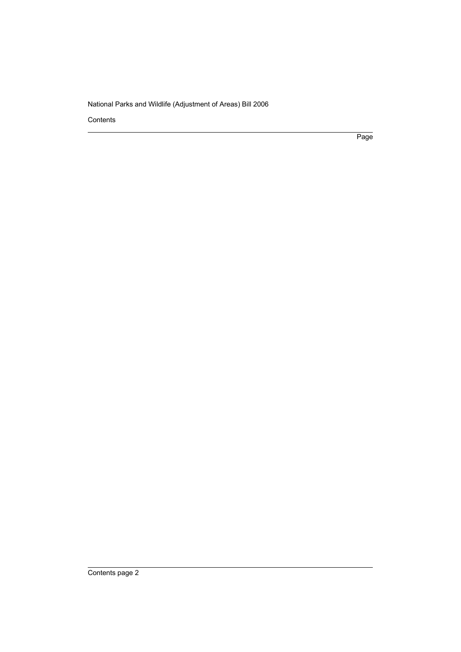National Parks and Wildlife (Adjustment of Areas) Bill 2006

Contents

Page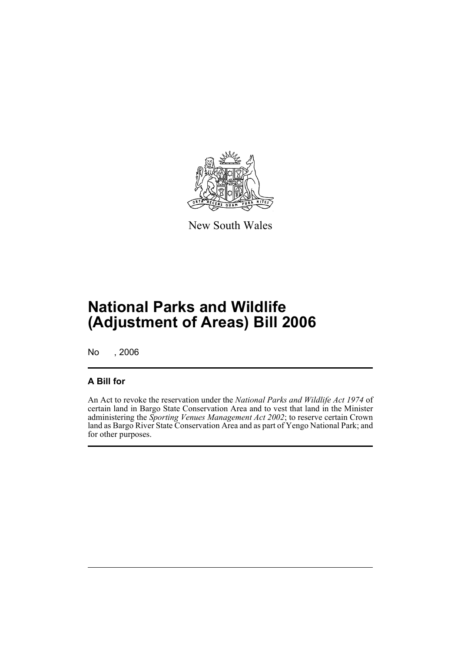

New South Wales

## **National Parks and Wildlife (Adjustment of Areas) Bill 2006**

No , 2006

#### **A Bill for**

An Act to revoke the reservation under the *National Parks and Wildlife Act 1974* of certain land in Bargo State Conservation Area and to vest that land in the Minister administering the *Sporting Venues Management Act 2002*; to reserve certain Crown land as Bargo River State Conservation Area and as part of Yengo National Park; and for other purposes.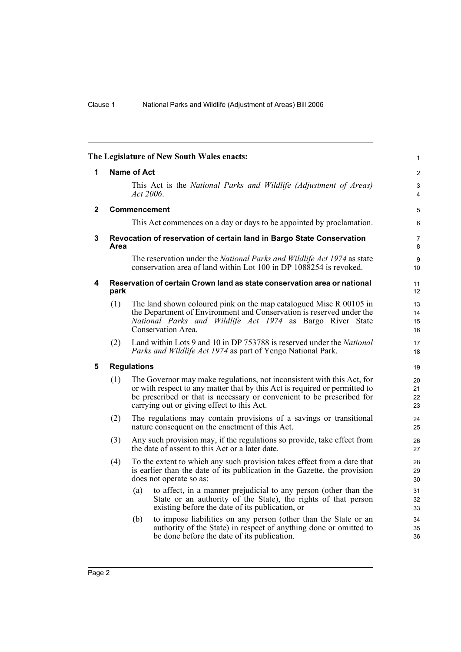<span id="page-5-4"></span><span id="page-5-3"></span><span id="page-5-2"></span><span id="page-5-1"></span><span id="page-5-0"></span>

| The Legislature of New South Wales enacts: |      | $\mathbf{1}$                                                                                                                                                                                                                                                                |                      |
|--------------------------------------------|------|-----------------------------------------------------------------------------------------------------------------------------------------------------------------------------------------------------------------------------------------------------------------------------|----------------------|
| 1                                          |      | <b>Name of Act</b>                                                                                                                                                                                                                                                          | $\overline{2}$       |
|                                            |      | This Act is the National Parks and Wildlife (Adjustment of Areas)<br>Act 2006.                                                                                                                                                                                              | 3<br>$\overline{4}$  |
| $\mathbf{2}$                               |      | <b>Commencement</b>                                                                                                                                                                                                                                                         | 5                    |
|                                            |      | This Act commences on a day or days to be appointed by proclamation.                                                                                                                                                                                                        | 6                    |
| 3                                          | Area | Revocation of reservation of certain land in Bargo State Conservation                                                                                                                                                                                                       | $\overline{7}$<br>8  |
|                                            |      | The reservation under the National Parks and Wildlife Act 1974 as state<br>conservation area of land within Lot 100 in DP 1088254 is revoked.                                                                                                                               | 9<br>10              |
| 4                                          | park | Reservation of certain Crown land as state conservation area or national                                                                                                                                                                                                    | 11<br>12             |
|                                            | (1)  | The land shown coloured pink on the map catalogued Misc R 00105 in<br>the Department of Environment and Conservation is reserved under the<br>National Parks and Wildlife Act 1974 as Bargo River State<br>Conservation Area.                                               | 13<br>14<br>15<br>16 |
|                                            | (2)  | Land within Lots 9 and 10 in DP 753788 is reserved under the National<br>Parks and Wildlife Act 1974 as part of Yengo National Park.                                                                                                                                        | 17<br>18             |
| 5                                          |      | <b>Regulations</b>                                                                                                                                                                                                                                                          | 19                   |
|                                            | (1)  | The Governor may make regulations, not inconsistent with this Act, for<br>or with respect to any matter that by this Act is required or permitted to<br>be prescribed or that is necessary or convenient to be prescribed for<br>carrying out or giving effect to this Act. | 20<br>21<br>22<br>23 |
|                                            | (2)  | The regulations may contain provisions of a savings or transitional<br>nature consequent on the enactment of this Act.                                                                                                                                                      | 24<br>25             |
|                                            | (3)  | Any such provision may, if the regulations so provide, take effect from<br>the date of assent to this Act or a later date.                                                                                                                                                  | 26<br>27             |
|                                            | (4)  | To the extent to which any such provision takes effect from a date that<br>is earlier than the date of its publication in the Gazette, the provision<br>does not operate so as:                                                                                             | 28<br>29<br>30       |
|                                            |      | to affect, in a manner prejudicial to any person (other than the<br>(a)<br>State or an authority of the State), the rights of that person<br>existing before the date of its publication, or                                                                                | 31<br>32<br>33       |
|                                            |      | to impose liabilities on any person (other than the State or an<br>(b)<br>authority of the State) in respect of anything done or omitted to<br>be done before the date of its publication.                                                                                  | 34<br>35<br>36       |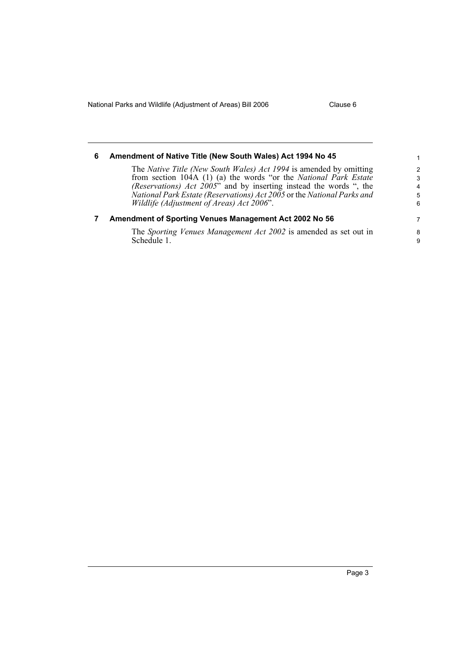National Parks and Wildlife (Adjustment of Areas) Bill 2006 Clause 6

<span id="page-6-1"></span><span id="page-6-0"></span>

| 6 | Amendment of Native Title (New South Wales) Act 1994 No 45                                                                                   | 1                  |
|---|----------------------------------------------------------------------------------------------------------------------------------------------|--------------------|
|   | The Native Title (New South Wales) Act 1994 is amended by omitting<br>from section 104A (1) (a) the words "or the National Park Estate       | $\mathcal{P}$<br>3 |
|   | (Reservations) Act 2005" and by inserting instead the words ", the<br>National Park Estate (Reservations) Act 2005 or the National Parks and | 4<br>5             |
|   | Wildlife (Adjustment of Areas) Act 2006".                                                                                                    | 6                  |
|   | Amendment of Sporting Venues Management Act 2002 No 56                                                                                       | 7                  |
|   | The Sporting Venues Management Act 2002 is amended as set out in<br>Schedule 1                                                               | 8<br>9             |